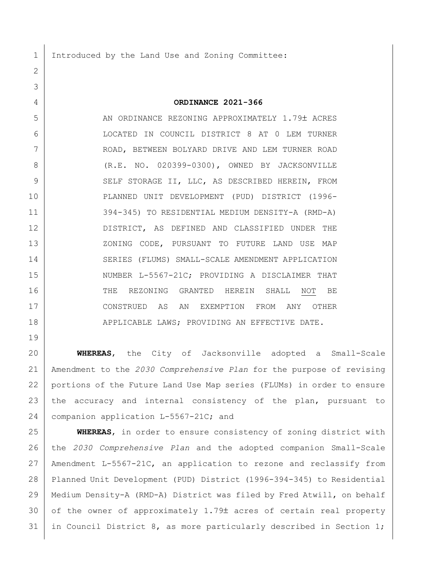1 Introduced by the Land Use and Zoning Committee:

## **ORDINANCE 2021-366**

5 | AN ORDINANCE REZONING APPROXIMATELY 1.79± ACRES LOCATED IN COUNCIL DISTRICT 8 AT 0 LEM TURNER ROAD, BETWEEN BOLYARD DRIVE AND LEM TURNER ROAD (R.E. NO. 020399-0300), OWNED BY JACKSONVILLE 9 SELF STORAGE II, LLC, AS DESCRIBED HEREIN, FROM PLANNED UNIT DEVELOPMENT (PUD) DISTRICT (1996- 394-345) TO RESIDENTIAL MEDIUM DENSITY-A (RMD-A) DISTRICT, AS DEFINED AND CLASSIFIED UNDER THE 13 XONING CODE, PURSUANT TO FUTURE LAND USE MAP SERIES (FLUMS) SMALL-SCALE AMENDMENT APPLICATION 15 NUMBER L-5567-21C; PROVIDING A DISCLAIMER THAT 16 THE REZONING GRANTED HEREIN SHALL NOT BE CONSTRUED AS AN EXEMPTION FROM ANY OTHER 18 | APPLICABLE LAWS; PROVIDING AN EFFECTIVE DATE.

 **WHEREAS**, the City of Jacksonville adopted a Small-Scale Amendment to the *2030 Comprehensive Plan* for the purpose of revising portions of the Future Land Use Map series (FLUMs) in order to ensure the accuracy and internal consistency of the plan, pursuant to companion application L-5567-21C; and

 **WHEREAS**, in order to ensure consistency of zoning district with the *2030 Comprehensive Plan* and the adopted companion Small-Scale Amendment L-5567-21C, an application to rezone and reclassify from Planned Unit Development (PUD) District (1996-394-345) to Residential Medium Density-A (RMD-A) District was filed by Fred Atwill, on behalf of the owner of approximately 1.79± acres of certain real property 31 in Council District 8, as more particularly described in Section 1;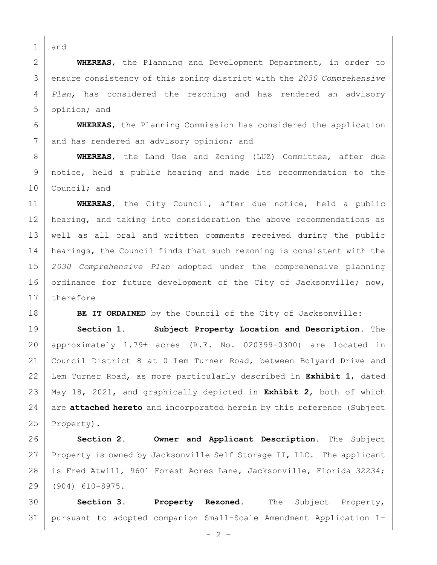and

 **WHEREAS**, the Planning and Development Department, in order to ensure consistency of this zoning district with the *2030 Comprehensive Plan*, has considered the rezoning and has rendered an advisory opinion; and

 **WHEREAS**, the Planning Commission has considered the application 7 and has rendered an advisory opinion; and

 **WHEREAS**, the Land Use and Zoning (LUZ) Committee, after due notice, held a public hearing and made its recommendation to the 10 Council; and

 **WHEREAS**, the City Council, after due notice, held a public 12 | hearing, and taking into consideration the above recommendations as well as all oral and written comments received during the public 14 | hearings, the Council finds that such rezoning is consistent with the *2030 Comprehensive Plan* adopted under the comprehensive planning 16 ordinance for future development of the City of Jacksonville; now, 17 therefore

**BE IT ORDAINED** by the Council of the City of Jacksonville:

 **Section 1. Subject Property Location and Description.** The approximately 1.79± acres (R.E. No. 020399-0300) are located in Council District 8 at 0 Lem Turner Road, between Bolyard Drive and Lem Turner Road, as more particularly described in **Exhibit 1**, dated May 18, 2021, and graphically depicted in **Exhibit 2**, both of which are **attached hereto** and incorporated herein by this reference (Subject 25 Property).

 **Section 2. Owner and Applicant Description.** The Subject 27 Property is owned by Jacksonville Self Storage II, LLC. The applicant 28 is Fred Atwill, 9601 Forest Acres Lane, Jacksonville, Florida 32234; (904) 610-8975.

 **Section 3. Property Rezoned.** The Subject Property, pursuant to adopted companion Small-Scale Amendment Application L-

 $- 2 -$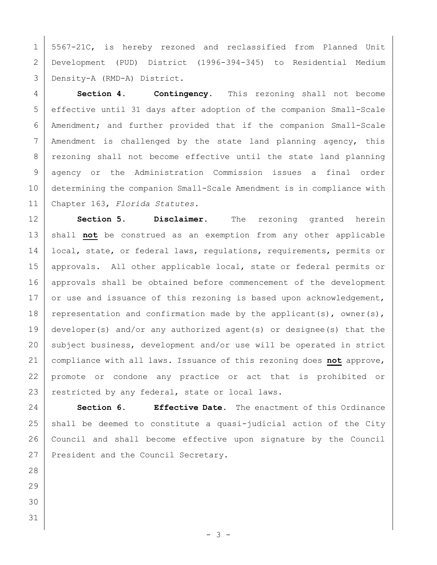5567-21C, is hereby rezoned and reclassified from Planned Unit Development (PUD) District (1996-394-345) to Residential Medium Density-A (RMD-A) District.

 **Section 4. Contingency.** This rezoning shall not become effective until 31 days after adoption of the companion Small-Scale Amendment; and further provided that if the companion Small-Scale Amendment is challenged by the state land planning agency, this 8 | rezoning shall not become effective until the state land planning agency or the Administration Commission issues a final order determining the companion Small-Scale Amendment is in compliance with Chapter 163, *Florida Statutes.*

 **Section 5. Disclaimer.** The rezoning granted herein 13 | shall not be construed as an exemption from any other applicable 14 | local, state, or federal laws, regulations, requirements, permits or 15 | approvals. All other applicable local, state or federal permits or 16 approvals shall be obtained before commencement of the development 17 or use and issuance of this rezoning is based upon acknowledgement, 18 representation and confirmation made by the applicant(s), owner(s), developer(s) and/or any authorized agent(s) or designee(s) that the 20 subject business, development and/or use will be operated in strict compliance with all laws. Issuance of this rezoning does **not** approve, promote or condone any practice or act that is prohibited or 23 restricted by any federal, state or local laws.

 **Section 6. Effective Date.** The enactment of this Ordinance shall be deemed to constitute a quasi-judicial action of the City Council and shall become effective upon signature by the Council 27 President and the Council Secretary.

- 
- 
- 
-